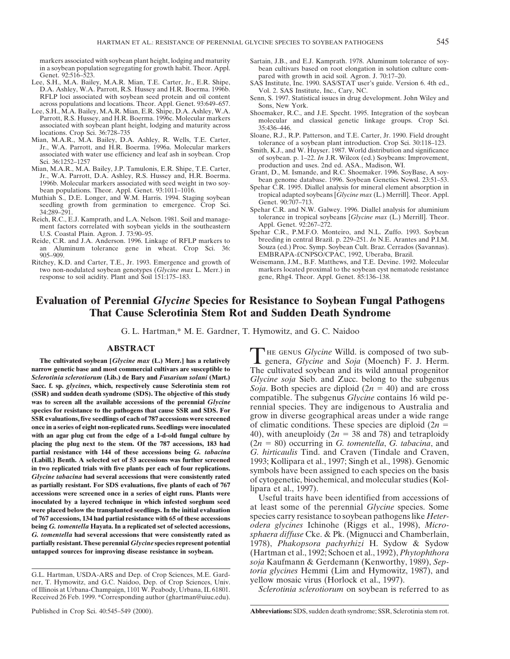- Genet. 92:516–523. pared with growth in acid soil. Agron. J. 70:17–20.<br>Lee, S.H., M.A. Bailey, M.A.R. Mian, T.E. Carter, Jr., E.R. Shipe, SAS Institute, Inc. 1990. SAS/STAT user's guide. Version 6. 4th ed., Lee, S.H., M.A. Bailey, M.A.R. Mian, T.E. Carter, Jr., E.R. Shipe,<br>
D.A. Ashley, W.A. Parrott, R.S. Hussey and H.R. Boerma. 1996b.<br>
RELP loci associated with soybean seed protein and oil content<br>
across populations and loc
- 
- 
- locations. Crop Sci. 36:728–735<br>
Mian, M.A.R., M.A. Bailey, D.A. Ashley, R. Wells, T.E. Carter, Sloane, R.J., R.P. Patterson, and T.E. Carter, Jr. 1990. Field drought<br>
1. Jr., W.A. Parrott, and H.R. Boerma. 1996a. Molecula
- seedling growth from germination to emergence. Crop Sci.
- Reich, R.C., E.J. Kamprath, and L.A. Nelson. 1981. Soil and manage-<br>ment factors correlated with sovbean vields in the southeastern *Appl. Genet. 92:267–272.* ment factors correlated with soybean yields in the southeastern
- an Aluminum tolerance gene in wheat. Crop Sci. 36: 905–909. 905–909. EMBRAPA-£CNPSO/CPAC, 1992, Uberaba, Brazil.<br>Ritchey, K.D. and Carter, T.E., Jr. 1993. Emergence and growth of Weisemann, J.M., B.F. Matthews, and T.E. Devine. 1992
- response to soil acidity. Plant and Soil 151:175–183. gene, Rhg4. Theor. Appl. Genet. 85:136–138.
- markers associated with soybean plant height, lodging and maturity Sartain, J.B., and E.J. Kamprath. 1978. Aluminum tolerance of soy-<br>in a soybean population segregating for growth habit. Theor. Appl. bean cultivars based in a soybean population segregating for growth habit. Theor. Appl. bean cultivars based on root elongation in solution culture com-<br>Genet. 92:516–523.
	-
	-
	-
	-
	-
	-
- bean populations. Theor. Appl. Genet. 93:1011-1016. Spehar C.R. 1995. Diallel analysis for mineral element absorption in<br>Muthiah S., D.E. Longer, and W.M. Harris. 1994. Staging soybean tropical adapted soybeans [*Glycine m* 
	- Spehar C.R. and N.W. Galwey. 1996. Diallel analysis for aluminium<br>34:289–291. Spehar C.R. and N.W. Galwey. 1996. Diallel analysis for aluminium<br>1981. Spil and manage-tolerance in tropical soybeans [Glycine max (L.) Merrill
- U.S. Coastal Plain. Agron. J. 73:90–95.<br>
ide C.R., and J.A. Anderson. 1996. Linkage of RFLP markers to breeding in central Brazil. p. 229–251. In N.E. Arantes and P.I.M. Reide, C.R. and J.A. Anderson. 1996. Linkage of RFLP markers to breeding in central Brazil. p. 229–251. *In* N.E. Arantes and P.I.M. an Aluminum tolerance gene in wheat. Crop Sci. 36: Souza (ed.) Proc. Symp. Soybean Cult.
	- tchey, K.D. and Carter, T.E., Jr. 1993. Emergence and growth of Weisemann, J.M., B.F. Matthews, and T.E. Devine. 1992. Molecular two non-nodulated soybean genotypes (*Glycine max* L. Merr.) in markers located proximal to t markers located proximal to the soybean cyst nematode resistance

# **Evaluation of Perennial** *Glycine* **Species for Resistance to Soybean Fungal Pathogens That Cause Sclerotinia Stem Rot and Sudden Death Syndrome**

G. L. Hartman,\* M. E. Gardner, T. Hymowitz, and G. C. Naidoo

narrow genetic base and most commercial cultivars are susceptible to<br>
Sclerotinia sclerotiorum (Lib.) de Bary and *Fusarium solani* (Mart.)<br>
Sacc. f. sp. *glycines*, which, respectively cause Sclerotinia stem rot<br>
(SSR) a **SSR evaluations, five seedlings of each of 787 accessions were screened** grow in diverse geographical areas under a wide range once in a series of eight non-replicated runs. Seedlings were inoculated of climatic conditio with an agar plug cut from the edge of a 1-d-old fungal culture by  $40$ , with aneuploidy ( $2n = 38$  and 78) and tetraploidy **placing the plug next to the stem. Of the 787 accessions, 183 had** (2*n* 5 80) occurring in *G. tomentella*, *G. tabacina*, and **partial resistance with 144 of these accessions being** *G. tabacina**G. hirticaulis* **Tind. and Craven (Tindale and Craven, (Labill.) Benth. A selected set of 53 accessions was further screened 1993: Kollipara et al., 1997** (Labill.) Benth. A selected set of 53 accessions was further screened<br>in two replicated trials with five plants per each of four replications.<br>*Glycine tabacina* had several accessions that were consistently rated<br>as parti **of 767 accessions, 134 had partial resistance with 65 of these accessions** and the species carry resistance to soybean pathogens like *Heter-*<br>**of 767 accessions, 134 had partial resistance with 65 of these accessions** sp **being** *G. tomentella* **Hayata. In a replicated set of selected accessions,** *odera glycines* Ichinohe (Riggs et al., 1998), *Micro-G. tomentella* **had several accessions that were consistently rated as** *sphaera diffuse* Cke. & Pk. (Mignucci and Chamberlain, **partially resistant. These perennial** *Glycine* **species represent potential** 1978), *Phakopsora pachyrhizi* H. Sydow & Sydow untapped sources for improving disease resistance in sovbean. (Hartman et al. 1992: Schoen et al.

**ABSTRACT**<br> **The cultivated soybean [***Glycine max* **(L.) Merr.] has a relatively** genera, *Glycine* and *Soja* (Moench) F. J. Herm.<br> **The cultivated souhean and its wild annual massering** 

**untapped sources for improving disease resistance in soybean.** (Hartman et al., 1992; Schoen et al., 1992), *Phytophthora soja* Kaufmann & Gerdemann (Kenworthy, 1989), *Septoria glycines* Hemmi (Lim and Hymowitz, 1987), and  $\overline{G.L.$  Hartman, USDA-ARS and Dep. of Crop Sciences, M.E. Gard-<br>ner. T. Hymowitz, and G.C. Naidoo. Dep. of Crop Sciences, Univ. yellow mosaic virus (Horlock et al., 19

Sclerotinia sclerotiorum on soybean is referred to as

ner, T. Hymowitz, and G.C. Naidoo, Dep. of Crop Sciences, Univ. of Illinois at Urbana-Champaign, 1101 W. Peabody, Urbana, IL 61801. Received 26 Feb. 1999. \*Corresponding author (ghartman@uiuc.edu).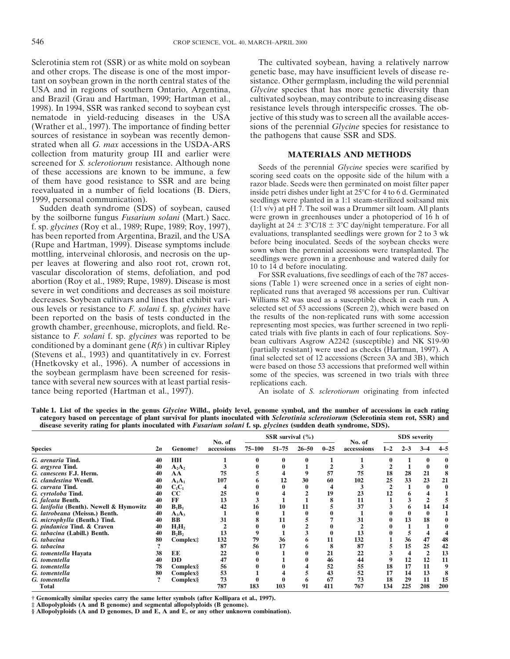and other crops. The disease is one of the most impor- genetic base, may have insufficient levels of disease retant on soybean grown in the north central states of the sistance. Other germplasm, including the wild perennial USA and in regions of southern Ontario, Argentina, *Glycine* species that has more genetic diversity than and Brazil (Grau and Hartman, 1999; Hartman et al., cultivated soybean, may contribute to increasing disease 1998). In 1994, SSR was ranked second to soybean cyst resistance levels through interspecific crosses. The obnematode in yield-reducing diseases in the USA jective of this study was to screen all the available acces- (Wrather et al., 1997). The importance of finding better sions of the perennial *Glycine* species for resistance to sources of resistance in soybean was recently demon- the pathogens that cause SSR and SDS. strated when all *G. max* accessions in the USDA-ARS collection from maturity group III and earlier were **MATERIALS AND METHODS** screened for S. sclerotiorum resistance. Although none Seeds of the perennial *Glycine* species were scarified by<br>of these accessions are known to be immune, a few<br>of them have good resistance to SSR and are being<br>reevaluated in a number of field locations (B. Diers,<br>1999, per

by the soilborne fungus *Fusarium solani* (Mart.) Sacc. were grown in greenhouses under a photoperiod of 16 h of f. sp. *elycines* (Roy et al., 1989: Rupe, 1989: Roy 1997). daylight at  $24 \pm 3^{\circ}C/18 \pm 3^{\circ}C$  day/night t f. sp. glycines (Roy et al., 1989; Rupe, 1989; Roy, 1997),<br>has been reported from Argentina, Brazil, and the USA<br>(Rupe and Hartman, 1999). Disease symptoms include<br>mottling, interveinal chlorosis, and necrosis on the up-<br> severe in wet conditions and decreases as soil moisture replicated runs that averaged 98 accessions per run. Cultivar decreases. Soybean cultivars and lines that exhibit vari-<br>ous levels or resistance to *F. solani* f. sp. *elycines* have selected set of 53 accessions (Screen 2), which were based on ous levels or resistance to *F. solani* f. sp. *glycines* have selected set of 53 accessions (Screen 2), which were based on been reported on the basis of tests conducted in the the results of the non-replicated runs with been reported on the basis of tests conducted in the the results of the non-replicated runs with some accession growth chamber greenhouse microplots and field Re-<br>representing most species, was further screened in two repl growth chamber, greenhouse, microplots, and field. Re-<br>sistance to *F. solani* f. sp. *glycines* was reported to be<br>conditioned by a dominant gene (*Rfs*) in cultivar Ripley<br>(Stevens et al., 1993) and quantitatively in cv. tance with several new sources with at least partial resis-<br>tance being reported (Hartman et al., 1997). An isolate of

Sclerotinia stem rot (SSR) or as white mold on soybean The cultivated soybean, having a relatively narrow

1999, personal communication). seedlings were planted in a 1:1 steam-sterilized soil:sand mix Sudden death syndrome (SDS) of soybean, caused  $(1:1 \text{ v/v})$  at pH 7. The soil was a Drummer silt loam. All plants  $(1:1 v/v)$  at pH 7. The soil was a Drummer silt loam. All plants

An isolate of *S. sclerotiorum* originating from infected

**Table 1. List of the species in the genus** *Glycine* **Willd., ploidy level, genome symbol, and the number of accessions in each rating category based on percentage of plant survival for plants inoculated with** *Sclerotinia sclerotiorum* **(Sclerotinia stem rot, SSR) and disease severity rating for plants inoculated with** *Fusarium solani* **f. sp.** *glycines* **(sudden death syndrome, SDS).**

| <b>Species</b>                          |    | Genome <sup>†</sup>  | No. of<br>accessions | SSR survival $(\% )$ |           |           | No. of   | <b>SDS</b> severity |         |     |     |     |
|-----------------------------------------|----|----------------------|----------------------|----------------------|-----------|-----------|----------|---------------------|---------|-----|-----|-----|
|                                         |    |                      |                      | 75–100               | $51 - 75$ | $26 - 50$ | $0 - 25$ | accesssions         | $1 - 2$ |     | 3-4 |     |
| G. arenaria Tind.                       | 40 | <b>HH</b>            |                      |                      |           |           |          |                     |         |     |     |     |
| G. argyrea Tind.                        | 40 | $A_2A_2$             |                      |                      |           |           |          |                     |         |     |     |     |
| G. canescens F.J. Herm.                 | 40 | AA                   | 75                   |                      |           |           | 57       | 75                  | 18      | 28  | 21  |     |
| G. clandestina Wendl.                   | 40 | $A_1A_1$             | 107                  |                      |           | 30        | 60       | 102                 | 25      | 33  | 23  | 21  |
| G. curvata Tind.                        | 40 | $C_1C_1$             |                      |                      |           |           |          |                     |         |     |     |     |
| G. cyrtoloba Tind.                      | 40 | cc                   | 25                   |                      |           |           | 19       | 23                  | 12      |     |     |     |
| G. falcata Benth.                       | 40 | FF                   | 13                   |                      |           |           |          | 11                  |         |     |     |     |
| G. latifolia (Benth). Newell & Hymowitz | 40 | $B_1B_1$             | 42                   | 16                   | 10        | 11        |          | 37                  |         | o   | 14  | 14  |
| G. latrobeana (Meissn.) Benth.          | 40 | $A_3A_3$             |                      |                      |           |           |          |                     |         |     |     |     |
| G. microphylla (Benth.) Tind.           | 40 | <b>BB</b>            | 31                   |                      |           |           |          | 31                  |         | 13  | 18  |     |
| G. pindanica Tind. & Craven             | 40 | $H_2H_2$             |                      |                      |           |           |          |                     |         |     |     |     |
| G. tabacina (Labill.) Benth.            | 40 | $B_2B_2$             | 13                   |                      |           |           |          | 13                  |         |     |     |     |
| G. tabacina                             | 80 | Complex <sup>‡</sup> | 132                  | 79                   | 36        |           | 11       | 132                 |         | 36  | 47  | 48  |
| G. tabacina                             |    |                      | 87                   | 56                   |           |           |          | 87                  |         | 15  | 25  | 42  |
| G. tomentella Hayata                    | 38 | EE                   | 22                   |                      |           |           | 21       | 22                  |         |     |     | 13  |
| G. tomentella                           | 40 | <b>DD</b>            | 47                   |                      |           |           | 46       | 44                  |         | 12  | 12  | 11  |
| G. tomentella                           | 78 | Complex <sub>§</sub> | 56                   |                      |           |           | 52       | 55                  | 18      | 17  | 11  | 9   |
| G. tomentella                           | 80 | Complex§             | 53                   |                      |           |           | 43       | 52                  | 17      | 14  | 13  |     |
| G. tomentella                           |    | Complex§             | 73                   |                      |           |           | 67       | 73                  | 18      | 29  | 11  | 15  |
| Total                                   |    |                      | 787                  | 183                  | 103       | 91        | 411      | 767                 | 134     | 225 | 208 | 200 |

**† Genomically similar species carry the same letter symbols (after Kollipara et al., 1997). ‡ Allopolyploids (A and B genome) and segmental allopolyploids (B genome).**

**§ Allopolyploids (A and D genomes, D and E, A and E, or any other unknown combination).**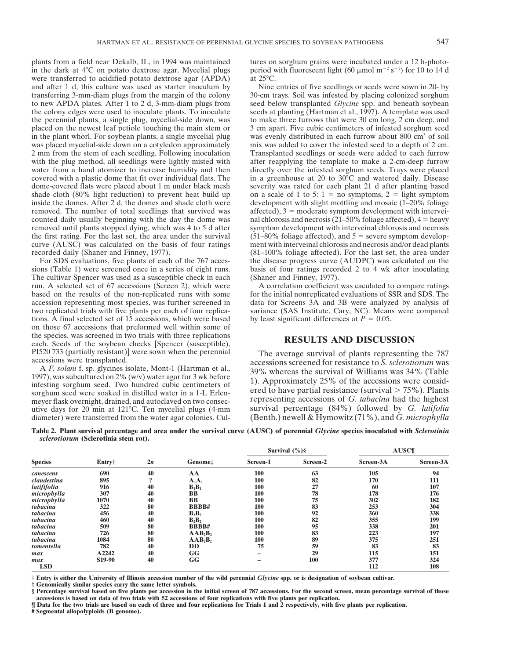plants from a field near Dekalb, IL, in 1994 was maintained tures on sorghum grains were incubated under a 12 h-photoin the dark at 4<sup>o</sup>C on potato dextrose agar. Mycelial plugs period with fluorescent light (60  $\mu$ mol m<sup>-2</sup> s<sup>-1</sup>) for 10 to 14 d were transferred to acidified potato dextrose agar (APDA) at 25°C.<br>and after 1 d, this culture was used as starter inoculum by Nine entries of five seedlings or seeds were sown in 20- by and after 1 d, this culture was used as starter inoculum by transferring  $3$ -mm-diam plugs from the margin of the colony to new APDA plates. After 1 to 2 d, 3-mm-diam plugs from seed below transplanted *Glycine* spp. and beneath soybean the colony edges were used to inoculate plants. To inoculate seeds at planting (Hartman et al., 1997). A template was used the perennial plants, a single plug, mycelial-side down, was to make three furrows that were 30 cm long, 2 cm deep, and placed on the newest leaf petiole touching the main stem or 3 cm apart. Five cubic centimeters of infested sorghum seed<br>in the plant whorl. For soybean plants, a single mycelial plug was evenly distributed in each furrow a in the plant whorl. For soybean plants, a single mycelial plug was placed mycelial-side down on a cotyledon approximately mix was added to cover the infested seed to a depth of 2 cm. 2 mm from the stem of each seedling. Following inoculation Transplanted seedlings or seeds were added to each furrow with the plug method, all seedlings were lightly misted with after reapplying the template to make a 2-cm-deep furrow water from a hand atomizer to increase humidity and then directly over the infested sorghum seeds. Trays were placed covered with a plastic dome that fit over individual flats. The in a greenhouse at 20 to 30°C and watered covered with a plastic dome that fit over individual flats. The in a greenhouse at 20 to  $30^{\circ}$ C and watered daily. Disease dome-covered flats were placed about 1 m under black mesh severity was rated for each plant 21 shade cloth (80% light reduction) to prevent heat build up on a scale of 1 to 5:  $1 =$  no symptoms,  $2 =$  light symptom inside the domes. After 2 d, the domes and shade cloth were development with slight mottling and mosaic (1–20% foliage removed. The number of total seedlings that survived was affected),  $3 =$  moderate symptom development with intervei-<br>counted daily usually beginning with the day the dome was nalchlorosis and necrosis (21–50% foliage affe removed until plants stopped dying, which was 4 to 5 d after symptom development with interveinal chlorosis and necrosis the first rating. For the last set, the area under the survival  $(51-80\%$  foliage affected), and  $5 =$  severe symptom develop-<br>curve (AUSC) was calculated on the basis of four ratings ment with interveinal chlorosis and n recorded daily (Shaner and Finney, 1977). (81–100% foliage affected). For the last set, the area under

sions (Table 1) were screened once in a series of eight runs. basis of four ratings recorded 2 to 4 wk after inoculating<br>The cultivar Spencer was used as a susceptible check in each (Shaner and Finney, 1977). The cultivar Spencer was used as a susceptible check in each run. A selected set of 67 accessions (Screen 2), which were A correlation coefficient was caculated to compare ratings accession representing most species, was further screened in data for Screens 3A and 3B were analyzed by analysis of two replicated trials with five plants per each of four replica- variance (SAS Institute, Cary, NC). Means were compared tions. A final selected set of 15 accessions, which were based by least significant differences at  $P = 0.05$ . on those 67 accessions that preformed well within some of the species, was screened in two trials with three replications each. Seeds of the soybean checks [Spencer (susceptible), **RESULTS AND DISCUSSION** 

diameter) were transferred from the water agar colonies. Cul-

30-cm trays. Soil was infested by placing colonized sorghum severity was rated for each plant 21 d after planting based nal chlorosis and necrosis (21–50% foliage affected),  $4 =$  heavy ment with interveinal chlorosis and necrosis and/or dead plants For SDS evaluations, five plants of each of the 767 acces-<br>the disease progress curve (AUDPC) was calculated on the

for the initial nonreplicated evaluations of SSR and SDS. The

PI520 733 (partially resistant)] were sown when the perennial The average survival of plants representing the 787 accessions were transplanted. A F. solani f. sp. glycines isolate, Mont-1 (Hartman et al., 2007 whereas the A F. solant I. sp. givenes isolate, Mont-1 (Hartman et al.,<br>
1997), was subcultured on 2% (w/v) water agar for 3 wk before<br>
infesting sorghum seed. Two hundred cubic centimeters of<br>
infesting sorghum seed. Two hundred cub meyer flask overnight, drained, and autoclaved on two consec-<br>utive days for 20 min at 121<sup>o</sup>C. Ten mycelial plugs (4-mm survival percentage (84%) followed by *G. latifolia* utive days for 20 min at 121<sup>o</sup>C. Ten mycelial plugs (4-mm survival percentage (84%) followed by *G. latifolia* diameter) were transferred from the water agar colonies. Cul- (Benth.) newell & Hymowitz (71%), and *G. microp* 

**Table 2. Plant survival percentage and area under the survival curve (AUSC) of perennial** *Glycine* **species inoculated with** *Sclerotinia sclerotiorum* **(Sclerotinia stem rot).**

| <b>Species</b> | Entry†              | 2n           | Genome <sup><math>\pm</math></sup>                                           |          | Survival $(\% )\$ | <b>AUSC¶</b> |           |  |
|----------------|---------------------|--------------|------------------------------------------------------------------------------|----------|-------------------|--------------|-----------|--|
|                |                     |              |                                                                              | Screen-1 | Screen-2          | Screen-3A    | Screen-3A |  |
| canescens      | 690                 | 40           | AA                                                                           | 100      | 63                | 105          | 94        |  |
| clandestina    | 895                 | $\mathbf{v}$ | $A_1A_1$                                                                     | 100      | 82                | 170          | 111       |  |
| latififolia    | 916                 | 40           | $B_1B_1$                                                                     | 100      | 27                | 60           | 107       |  |
| microphylla    | 307                 | 40           | BB                                                                           | 100      | 78                | 178          | 176       |  |
| microphylla    | 1070                | 40           | BB                                                                           | 100      | 75                | 302          | 182       |  |
| tabacina       | 322                 | 80           | <b>BBBB#</b>                                                                 | 100      | 83                | 253          | 304       |  |
| tabacina       | 456                 | 40           | $B_2B_2$                                                                     | 100      | 92                | 360          | 338       |  |
| tabacina       | 460                 | 40           | $B_2B_2$                                                                     | 100      | 82                | 355          | 199       |  |
| tabacina       | 509                 | 80           | <b>BBBB#</b>                                                                 | 100      | 95                | 338          | 201       |  |
| tabacina       | 726                 | 80           | $A$ $A$ $B$ <sub><math>3</math><math>B</math><sub><math>3</math></sub></sub> | 100      | 83                | 223          | 197       |  |
| tabacina       | 1084                | 80           | AAB, B,                                                                      | 100      | 89                | 375          | 251       |  |
| tomentella     | 782                 | 40           | <b>DD</b>                                                                    | 75       | 59                | 83           | 83        |  |
| max            | A2242               | 40           | GG                                                                           |          | 29                | 115          | 151       |  |
| max            | S <sub>19</sub> -90 | 40           | GG                                                                           |          | 100               | 377          | 324       |  |
| <b>LSD</b>     |                     |              |                                                                              |          |                   | 112          | 108       |  |

**† Entry is either the University of Illinois accession number of the wild perennial** *Glycine* **spp. or is designation of soybean cultivar.**

**‡ Genomically similar species carry the same letter symbols.**

**§ Percentage survival based on five plants per accession in the initial screen of 787 accessions. For the second screen, mean percentage survival of those** accessions is based on data of two trials with 52 accessions of four replications with five plants per replication.<br>I Data for the two trials are based on each of three and four replications for Trials 1 and 2 respectively

**# Segmental allopolyploids (B genome).**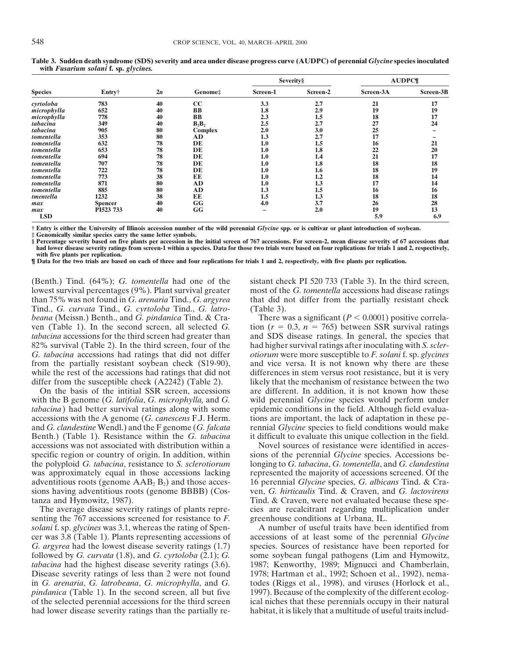| <b>Species</b> | Entry†         | 2n |                |          | <b>Severity</b> § | <b>AUDPC¶</b> |           |  |
|----------------|----------------|----|----------------|----------|-------------------|---------------|-----------|--|
|                |                |    | Genome:        | Screen-1 | Screen-2          | Screen-3A     | Screen-3B |  |
| cyrtoloba      | 783            | 40 | cc             | 3.3      | 2.7               | 21            | 17        |  |
| microphylla    | 652            | 40 | <b>BB</b>      | 1.8      | 2.9               | 19            | 19        |  |
| microphylla    | 778            | 40 | <b>BB</b>      | 2.3      | 1.5               | 18            | 17        |  |
| tabacina       | 349            | 40 | $B_2B_2$       | 2.5      | 2.7               | 27            | 24        |  |
| tabacina       | 905            | 80 | <b>Complex</b> | 2.0      | 3.0               | 25            |           |  |
| tomentella     | 353            | 80 | AD             | 1.3      | 2.7               | 17            |           |  |
| tomentella     | 632            | 78 | DE             | 1.0      | 1.5               | 16            | 21        |  |
| tomentella     | 653            | 78 | DE             | 1.0      | 1.8               | 22            | 20        |  |
| tomentella     | 694            | 78 | DE             | 1.0      | 1.4               | 21            | 17        |  |
| tomentella     | 707            | 78 | DE             | 1.0      | 1.8               | 18            | 18        |  |
| tomentella     | 722            | 78 | DE             | 1.0      | 1.6               | 18            | 19        |  |
| tomentella     | 773            | 38 | EE             | 1.0      | 1.2               | 18            | 14        |  |
| tomentella     | 871            | 80 | AD             | 1.0      | 1.3               | 17            | 14        |  |
| $to mentala$   | 885            | 80 | <b>AD</b>      | 1.3      | 1.5               | 16            | 16        |  |
| tmentella      | 1232           | 38 | EE             | 1.5      | 1.3               | 18            | 18        |  |
| max            | <b>Spencer</b> | 40 | GG             | 4.0      | 3.7               | 26            | 28        |  |
| max            | PI523 733      | 40 | GG             |          | 2.0               | 19            | 13        |  |
| <b>LSD</b>     |                |    |                |          |                   | 5.9           | 6.9       |  |

**Table 3. Sudden death syndrome (SDS) severity and area under disease progress curve (AUDPC) of perennial** *Glycine* **species inoculated with** *Fusarium solani* **f. sp.** *glycines.*

**† Entry is either the University of Illinois accession number of the wild perennial** *Glycine* **spp. or is cultivar or plant introduction of soybean.**

**‡ Genomically similar species carry the same letter symbols.**

**§ Percentage severity based on five plants per accession in the initial screen of 767 accessions. For screen-2, mean disease severity of 67 accessions that had lower disease severity ratings from screen-1 within a species. Data for those two trials were based on four replications for trials 1 and 2, respectively, with five plants per replication.**

**¶ Data for the two trials are based on each of three and four replications for trials 1 and 2, respectively, with five plants per replication.**

lowest survival percentages (9%). Plant survival greater most of the *G. tomentella* accessions had disease ratings than 75% was not found in *G. arenaria* Tind., *G. argyrea* that did not differ from the partially resistant check Tind., *G. curvata* Tind., *G. cyrtoloba* Tind., *G. latro-* (Table 3). *beana* (Meissn.) Benth., and *G. pindanica* Tind. & Cra- There was a significant  $(P < 0.0001)$  positive correlaven (Table 1). In the second screen, all selected *G*. tion  $(r = 0.3, n = 765)$  between SSR survival ratings *tabacina* accessions for the third screen had greater than and SDS disease ratings. In general, the species that 82% survival (Table 2). In the third screen, four of the had higher survival ratings after inoculating with *S. scler-*<br> *G. tabacina* accessions had ratings that did not differ *otiorum* were more susceptible to *F. solan* from the partially resistant soybean check (S19-90), and vice versa. It is not known why there are these while the rest of the accessions had ratings that did not differences in stem versus root resistance, but it is very differ from the susceptible check (A2242) (Table 2). likely that the mechanism of resistance between the two

with the B genome (*G. latifolia*, *G. microphylla*, and *G. tabacina*) had better survival ratings along with some epidemic conditions in the field. Although field evaluaaccessions with the A genome (*G. canescens* F.J. Herm. tions are important, the lack of adaptation in these peand *G. clandestine* Wendl.) and the F genome (*G. falcata* rennial *Glycine* species to field conditions would make Benth.) (Table 1). Resistance within the *G. tabacina* it difficult to evaluate this unique collection in the field.

senting the 767 accessions screened for resistance to *F*. *solani* f. sp. *glycines* was 3.1, whereas the rating of Spen- A number of useful traits have been identified from cer was 3.8 (Table 1). Plants representing accessions of accessions of at least some of the perennial *Glycine G. argyrea* had the lowest disease severity ratings (1.7) species. Sources of resistance have been reported for followed by *G. curvata* (1.8), and *G. cyrtoloba* (2.1); *G.* some soybean fungal pathogens (Lim and Hymowitz, *tabacina* had the highest disease severity ratings (3.6). 1987; Kenworthy, 1989; Mignucci and Chamberlain, Disease severity ratings of less than 2 were not found 1978; Hartman et al., 1992; Schoen et al., 1992), nema-<br>in G. arenaria, G. latrobeana, G. microphylla, and G. des (Riggs et al., 1998), and viruses (Horlock et al., *pindanica* (Table 1). In the second screen, all but five 1997). Because of the complexity of the different ecologof the selected perennial accessions for the third screen ical niches that these perennials occupy in their natural had lower disease severity ratings than the partially re- habitat, it is likely that a multitude of useful traits includ-

(Benth.) Tind. (64%); *G. tomentella* had one of the sistant check PI 520 733 (Table 3). In the third screen,

*Grahaciana were more susceptible to <i>F. solani* f. sp. *glycines* On the basis of the intitial SSR screen, accessions are different. In addition, it is not known how these tith the B genome (*G. latifolia, G. microphylla,* and *G.* wild perennial *Glycine* species would perform under

accessions was not associated with distribution within a Novel sources of resistance were identified in accesspecific region or country of origin. In addition, within sions of the perennial *Glycine* species. Accessions bethe polyploid *G. tabacina*, resistance to *S. sclerotiorum* longing to *G. tabacina*, *G. tomentella*, and *G. clandestina* represented the majority of accessions screened. Of the adventitious roots (genome  $AAB_2B_2$ ) and those acces- 16 perennial *Glycine* species, *G. albicans* Tind. & Crasions having adventitious roots (genome BBBB) (Cos- ven, *G. hirticaulis* Tind. & Craven, and *G. lactovirens* tanza and Hymowitz, 1987). Tind. & Craven, were not evaluated because these spe-The average disease severity ratings of plants repre-<br>
interest are recalcitrant regarding multiplication under<br>
interest are receptor of the set of the set of the set of the set of the set of the set of the set of the se

todes (Riggs et al., 1998), and viruses (Horlock et al.,